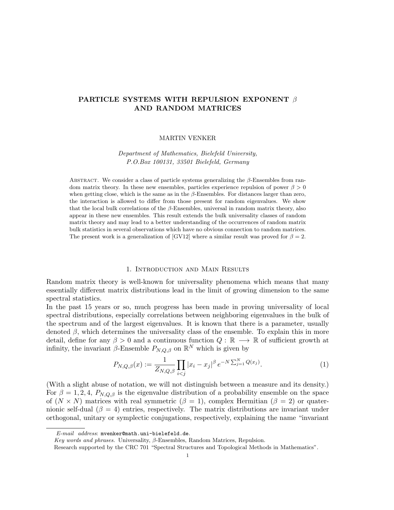# PARTICLE SYSTEMS WITH REPULSION EXPONENT  $\beta$ AND RANDOM MATRICES

# MARTIN VENKER

Department of Mathematics, Bielefeld University, P.O.Box 100131, 33501 Bielefeld, Germany

ABSTRACT. We consider a class of particle systems generalizing the  $\beta$ -Ensembles from random matrix theory. In these new ensembles, particles experience repulsion of power  $\beta > 0$ when getting close, which is the same as in the  $\beta$ -Ensembles. For distances larger than zero, the interaction is allowed to differ from those present for random eigenvalues. We show that the local bulk correlations of the  $\beta$ -Ensembles, universal in random matrix theory, also appear in these new ensembles. This result extends the bulk universality classes of random matrix theory and may lead to a better understanding of the occurrences of random matrix bulk statistics in several observations which have no obvious connection to random matrices. The present work is a generalization of [GV12] where a similar result was proved for  $\beta = 2$ .

#### 1. Introduction and Main Results

Random matrix theory is well-known for universality phenomena which means that many essentially different matrix distributions lead in the limit of growing dimension to the same spectral statistics.

In the past 15 years or so, much progress has been made in proving universality of local spectral distributions, especially correlations between neighboring eigenvalues in the bulk of the spectrum and of the largest eigenvalues. It is known that there is a parameter, usually denoted  $\beta$ , which determines the universality class of the ensemble. To explain this in more detail, define for any  $\beta > 0$  and a continuous function  $Q : \mathbb{R} \longrightarrow \mathbb{R}$  of sufficient growth at infinity, the invariant  $\beta$ -Ensemble  $P_{N,Q,\beta}$  on  $\mathbb{R}^N$  which is given by

$$
P_{N,Q,\beta}(x) := \frac{1}{Z_{N,Q,\beta}} \prod_{i < j} |x_i - x_j|^\beta \, e^{-N \sum_{j=1}^N Q(x_j)}.\tag{1}
$$

(With a slight abuse of notation, we will not distinguish between a measure and its density.) For  $\beta = 1, 2, 4, P_{N,Q,\beta}$  is the eigenvalue distribution of a probability ensemble on the space of  $(N \times N)$  matrices with real symmetric  $(\beta = 1)$ , complex Hermitian  $(\beta = 2)$  or quaternionic self-dual  $(\beta = 4)$  entries, respectively. The matrix distributions are invariant under orthogonal, unitary or symplectic conjugations, respectively, explaining the name "invariant

 $E-mail$   $address:$  mvenker@math.uni-bielefeld.de.

Key words and phrases. Universality, β-Ensembles, Random Matrices, Repulsion.

Research supported by the CRC 701 "Spectral Structures and Topological Methods in Mathematics".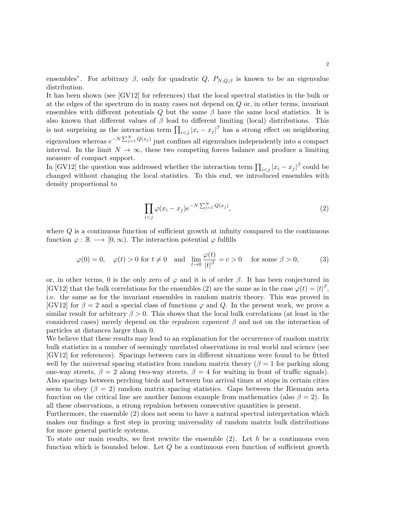ensembles". For arbitrary  $\beta$ , only for quadratic  $Q$ ,  $P_{N,Q,\beta}$  is known to be an eigenvalue distribution.

It has been shown (see [GV12] for references) that the local spectral statistics in the bulk or at the edges of the spectrum do in many cases not depend on Q or, in other terms, invariant ensembles with different potentials  $Q$  but the same  $\beta$  have the same local statistics. It is also known that different values of  $\beta$  lead to different limiting (local) distributions. This is not surprising as the interaction term  $\prod_{i < j} |x_i - x_j|^\beta$  has a strong effect on neighboring eigenvalues whereas  $e^{-N\sum_{j=1}^{N}Q(x_j)}$  just confines all eigenvalues independently into a compact interval. In the limit  $N \to \infty$ , these two competing forces balance and produce a limiting measure of compact support.

In [GV12] the question was addressed whether the interaction term  $\prod_{i < j} |x_i - x_j|^\beta$  could be changed without changing the local statistics. To this end, we introduced ensembles with density proportional to

$$
\prod_{i < j} \varphi(x_i - x_j) e^{-N \sum_{j=1}^N Q(x_j)},\tag{2}
$$

where  $Q$  is a continuous function of sufficient growth at infinity compared to the continuous function  $\varphi : \mathbb{R} \longrightarrow [0, \infty)$ . The interaction potential  $\varphi$  fulfills

$$
\varphi(0) = 0, \quad \varphi(t) > 0 \text{ for } t \neq 0 \quad \text{and} \quad \lim_{t \to 0} \frac{\varphi(t)}{|t|^{\beta}} = c > 0 \quad \text{ for some } \beta > 0,
$$
 (3)

or, in other terms, 0 is the only zero of  $\varphi$  and it is of order  $\beta$ . It has been conjectured in [GV12] that the bulk correlations for the ensembles (2) are the same as in the case  $\varphi(t) = |t|^{\beta}$ , i.e. the same as for the invariant ensembles in random matrix theory. This was proved in [GV12] for  $\beta = 2$  and a special class of functions  $\varphi$  and Q. In the present work, we prove a similar result for arbitrary  $\beta > 0$ . This shows that the local bulk correlations (at least in the considered cases) merely depend on the repulsion exponent  $\beta$  and not on the interaction of particles at distances larger than 0.

We believe that these results may lead to an explanation for the occurrence of random matrix bulk statistics in a number of seemingly unrelated observations in real world and science (see [GV12] for references). Spacings between cars in different situations were found to be fitted well by the universal spacing statistics from random matrix theory ( $\beta = 1$  for parking along one-way streets,  $\beta = 2$  along two-way streets,  $\beta = 4$  for waiting in front of traffic signals). Also spacings between perching birds and between bus arrival times at stops in certain cities seem to obey ( $\beta = 2$ ) random matrix spacing statistics. Gaps between the Riemann zeta function on the critical line are another famous example from mathematics (also  $\beta = 2$ ). In all these observations, a strong repulsion between consecutive quantities is present.

Furthermore, the ensemble (2) does not seem to have a natural spectral interpretation which makes our findings a first step in proving universality of random matrix bulk distributions for more general particle systems.

To state our main results, we first rewrite the ensemble  $(2)$ . Let h be a continuous even function which is bounded below. Let  $Q$  be a continuous even function of sufficient growth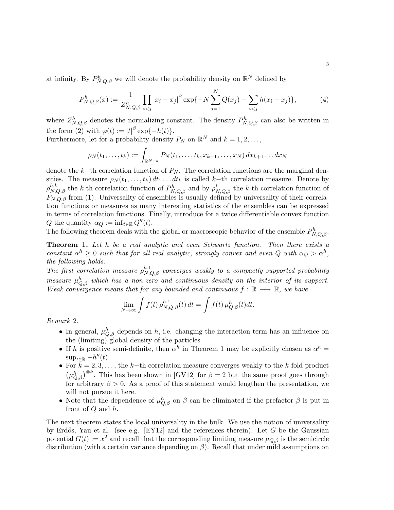at infinity. By  $P_{N,Q,\beta}^h$  we will denote the probability density on  $\mathbb{R}^N$  defined by

$$
P_{N,Q,\beta}^{h}(x) := \frac{1}{Z_{N,Q,\beta}^{h}} \prod_{i < j} |x_i - x_j|^\beta \exp\{-N \sum_{j=1}^{N} Q(x_j) - \sum_{i < j} h(x_i - x_j)\},\tag{4}
$$

where  $Z_{N,Q,\beta}^h$  denotes the normalizing constant. The density  $P_{N,Q,\beta}^h$  can also be written in the form (2) with  $\varphi(t) := |t|^{\beta} \exp\{-h(t)\}.$ 

Furthermore, let for a probability density  $P_N$  on  $\mathbb{R}^N$  and  $k = 1, 2, \ldots$ ,

$$
\rho_N(t_1,\ldots,t_k):=\int_{\mathbb{R}^{N-k}}P_N(t_1,\ldots,t_k,x_{k+1},\ldots,x_N)\,dx_{k+1}\ldots dx_N
$$

denote the k−th correlation function of  $P_N$ . The correlation functions are the marginal densities. The measure  $\rho_N(t_1,\ldots,t_k) dt_1 \ldots dt_k$  is called k–th correlation measure. Denote by  $\rho_{N,Q,\beta}^{h,k}$  the k-th correlation function of  $P_{N,Q,\beta}^h$  and by  $\rho_{N,Q,\beta}^k$  the k-th correlation function of  $P_{N,Q,\beta}$  from (1). Universality of ensembles is usually defined by universality of their correlation functions or measures as many interesting statistics of the ensembles can be expressed in terms of correlation functions. Finally, introduce for a twice differentiable convex function Q the quantity  $\alpha_Q := \inf_{t \in \mathbb{R}} Q''(t)$ .

The following theorem deals with the global or macroscopic behavior of the ensemble  $P_{N,Q,\beta}^h$ .

Theorem 1. Let h be a real analytic and even Schwartz function. Then there exists a constant  $\alpha^h \geq 0$  such that for all real analytic, strongly convex and even Q with  $\alpha_Q > \alpha^h$ , the following holds:

The first correlation measure  $\rho_{N,Q,\beta}^{h,1}$  converges weakly to a compactly supported probability measure  $\mu_{Q,\beta}^h$  which has a non-zero and continuous density on the interior of its support. Weak convergence means that for any bounded and continuous  $f : \mathbb{R} \longrightarrow \mathbb{R}$ , we have

$$
\lim_{N \to \infty} \int f(t) \,\rho_{N,Q,\beta}^{h,1}(t) \, dt = \int f(t) \,\mu_{Q,\beta}^h(t) \, dt.
$$

Remark 2.

- In general,  $\mu_{Q,\beta}^h$  depends on h, i.e. changing the interaction term has an influence on the (limiting) global density of the particles.
- If h is positive semi-definite, then  $\alpha^h$  in Theorem 1 may be explicitly chosen as  $\alpha^h$  =  $\sup_{t\in\mathbb{R}} -h''(t)$ .
- For  $k = 2, 3, \ldots$ , the k-th correlation measure converges weakly to the k-fold product  $(\mu_{Q,\beta}^h)^{\otimes k}$ . This has been shown in [GV12] for  $\beta = 2$  but the same proof goes through for arbitrary  $\beta > 0$ . As a proof of this statement would lengthen the presentation, we will not pursue it here.
- Note that the dependence of  $\mu_{Q,\beta}^h$  on  $\beta$  can be eliminated if the prefactor  $\beta$  is put in front of Q and h.

The next theorem states the local universality in the bulk. We use the notion of universality by Erdős, Yau et al. (see e.g. [EY12] and the references therein). Let  $G$  be the Gaussian potential  $G(t) := x^2$  and recall that the corresponding limiting measure  $\mu_{Q,\beta}$  is the semicircle distribution (with a certain variance depending on  $\beta$ ). Recall that under mild assumptions on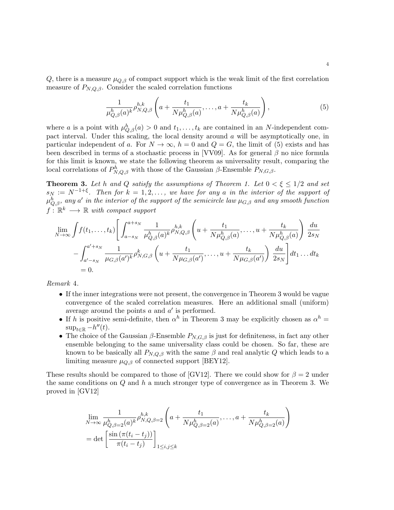Q, there is a measure  $\mu_{Q,\beta}$  of compact support which is the weak limit of the first correlation measure of  $P_{N,Q,\beta}$ . Consider the scaled correlation functions

$$
\frac{1}{\mu_{Q,\beta}^h(a)^k} \rho_{N,Q,\beta}^{h,k} \left( a + \frac{t_1}{N \mu_{Q,\beta}^h(a)}, \dots, a + \frac{t_k}{N \mu_{Q,\beta}^h(a)} \right), \tag{5}
$$

where a is a point with  $\mu_{Q,\beta}^h(a) > 0$  and  $t_1, \ldots, t_k$  are contained in an N-independent compact interval. Under this scaling, the local density around a will be asymptotically one, in particular independent of a. For  $N \to \infty$ ,  $h = 0$  and  $Q = G$ , the limit of (5) exists and has been described in terms of a stochastic process in [VV09]. As for general  $\beta$  no nice formula for this limit is known, we state the following theorem as universality result, comparing the local correlations of  $P_{N,Q,\beta}^h$  with those of the Gaussian  $\beta$ -Ensemble  $P_{N,G,\beta}$ .

**Theorem 3.** Let h and Q satisfy the assumptions of Theorem 1. Let  $0 < \xi \leq 1/2$  and set  $s_N := N^{-1+\xi}$ . Then for  $k = 1, 2, \ldots$ , we have for any a in the interior of the support of  $\mu^h_{Q,\beta}$ , any a' in the interior of the support of the semicircle law  $\mu_{G,\beta}$  and any smooth function  $f: \mathbb{R}^k \longrightarrow \mathbb{R}$  with compact support

$$
\lim_{N \to \infty} \int f(t_1, \dots, t_k) \left[ \int_{a-s_N}^{a+s_N} \frac{1}{\mu_{Q,\beta}^h(a)^k} \rho_{N,Q,\beta}^{h,k} \left( u + \frac{t_1}{N \mu_{Q,\beta}^h(a)}, \dots, u + \frac{t_k}{N \mu_{Q,\beta}^h(a)} \right) \frac{du}{2s_N} \right. \\
\left. - \int_{a'-s_N}^{a'+s_N} \frac{1}{\mu_{G,\beta}(a')^k} \rho_{N,G,\beta}^k \left( u + \frac{t_1}{N \mu_{G,\beta}(a')}, \dots, u + \frac{t_k}{N \mu_{G,\beta}(a')} \right) \frac{du}{2s_N} \right] dt_1 \dots dt_k
$$
\n
$$
= 0.
$$

Remark 4.

- If the inner integrations were not present, the convergence in Theorem 3 would be vague convergence of the scaled correlation measures. Here an additional small (uniform) average around the points  $a$  and  $a'$  is performed.
- If h is positive semi-definite, then  $\alpha^h$  in Theorem 3 may be explicitly chosen as  $\alpha^h$  =  $\sup_{t\in\mathbb{R}} -h''(t)$ .
- The choice of the Gaussian  $\beta$ -Ensemble  $P_{N,G,\beta}$  is just for definiteness, in fact any other ensemble belonging to the same universality class could be chosen. So far, these are known to be basically all  $P_{N,Q,\beta}$  with the same  $\beta$  and real analytic Q which leads to a limiting measure  $\mu_{Q,\beta}$  of connected support [BEY12].

These results should be compared to those of [GV12]. There we could show for  $\beta = 2$  under the same conditions on  $Q$  and  $h$  a much stronger type of convergence as in Theorem 3. We proved in [GV12]

$$
\lim_{N \to \infty} \frac{1}{\mu_{Q,\beta=2}^h(a)^k} \rho_{N,Q,\beta=2}^{h,k} \left( a + \frac{t_1}{N \mu_{Q,\beta=2}^h(a)}, \dots, a + \frac{t_k}{N \mu_{Q,\beta=2}^h(a)} \right)
$$
\n
$$
= \det \left[ \frac{\sin \left( \pi (t_i - t_j) \right)}{\pi (t_i - t_j)} \right]_{1 \le i,j \le k}
$$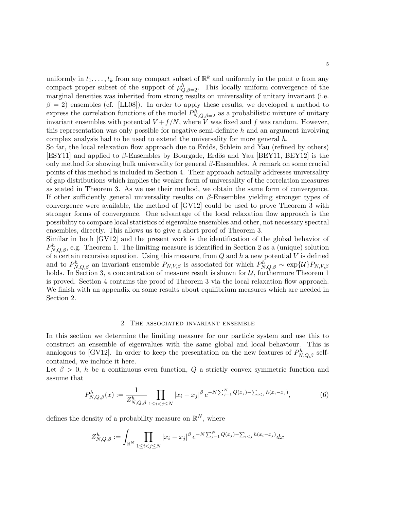uniformly in  $t_1, \ldots, t_k$  from any compact subset of  $\mathbb{R}^k$  and uniformly in the point a from any compact proper subset of the support of  $\mu_{Q,\beta=2}^h$ . This locally uniform convergence of the marginal densities was inherited from strong results on universality of unitary invariant (i.e.  $\beta = 2$ ) ensembles (cf. [LL08]). In order to apply these results, we developed a method to express the correlation functions of the model  $P_{N,Q,\beta=2}^{h}$  as a probabilistic mixture of unitary invariant ensembles with potential  $V + f/N$ , where V was fixed and f was random. However, this representation was only possible for negative semi-definite  $h$  and an argument involving complex analysis had to be used to extend the universality for more general  $h$ .

So far, the local relaxation flow approach due to Erdős, Schlein and Yau (refined by others) [ESY11] and applied to  $\beta$ -Ensembles by Bourgade, Erdős and Yau [BEY11, BEY12] is the only method for showing bulk universality for general  $\beta$ -Ensembles. A remark on some crucial points of this method is included in Section 4. Their approach actually addresses universality of gap distributions which implies the weaker form of universality of the correlation measures as stated in Theorem 3. As we use their method, we obtain the same form of convergence. If other sufficiently general universality results on  $\beta$ -Ensembles yielding stronger types of convergence were available, the method of [GV12] could be used to prove Theorem 3 with stronger forms of convergence. One advantage of the local relaxation flow approach is the possibility to compare local statistics of eigenvalue ensembles and other, not necessary spectral ensembles, directly. This allows us to give a short proof of Theorem 3.

Similar in both [GV12] and the present work is the identification of the global behavior of  $P_{N,Q,\beta}^h$ , e.g. Theorem 1. The limiting measure is identified in Section 2 as a (unique) solution of a certain recursive equation. Using this measure, from  $Q$  and  $h$  a new potential  $V$  is defined and to  $P_{N,Q,\beta}^h$  an invariant ensemble  $P_{N,V,\beta}$  is associated for which  $P_{N,Q,\beta}^h \sim \exp\{\mathcal{U}\}P_{N,V,\beta}$ holds. In Section 3, a concentration of measure result is shown for  $U$ , furthermore Theorem 1 is proved. Section 4 contains the proof of Theorem 3 via the local relaxation flow approach. We finish with an appendix on some results about equilibrium measures which are needed in Section 2.

#### 2. The associated invariant ensemble

In this section we determine the limiting measure for our particle system and use this to construct an ensemble of eigenvalues with the same global and local behaviour. This is analogous to [GV12]. In order to keep the presentation on the new features of  $P_{N,Q,\beta}^h$  selfcontained, we include it here.

Let  $\beta > 0$ , h be a continuous even function, Q a strictly convex symmetric function and assume that

$$
P_{N,Q,\beta}^{h}(x) := \frac{1}{Z_{N,Q,\beta}^{h}} \prod_{1 \leq i < j \leq N} |x_i - x_j|^\beta \, e^{-N \sum_{j=1}^N Q(x_j) - \sum_{i < j} h(x_i - x_j)},\tag{6}
$$

defines the density of a probability measure on  $\mathbb{R}^N$ , where

$$
Z_{N,Q,\beta}^h := \int_{\mathbb{R}^N} \prod_{1 \le i < j \le N} |x_i - x_j|^\beta \, e^{-N \sum_{j=1}^N Q(x_j) - \sum_{i < j} h(x_i - x_j)} dx
$$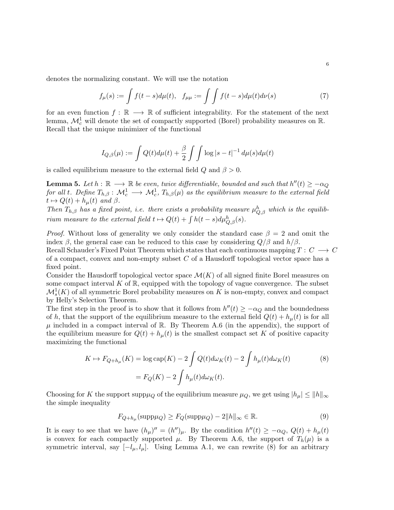denotes the normalizing constant. We will use the notation

$$
f_{\mu}(s) := \int f(t-s)d\mu(t), \quad f_{\mu\mu} := \int \int f(t-s)d\mu(t)d\nu(s) \tag{7}
$$

for an even function  $f : \mathbb{R} \longrightarrow \mathbb{R}$  of sufficient integrability. For the statement of the next lemma,  $\mathcal{M}_c^1$  will denote the set of compactly supported (Borel) probability measures on  $\mathbb{R}$ . Recall that the unique minimizer of the functional

$$
I_{Q,\beta}(\mu) := \int Q(t) d\mu(t) + \frac{\beta}{2} \int \int \log|s-t|^{-1} d\mu(s) d\mu(t)
$$

is called equilibrium measure to the external field  $Q$  and  $\beta > 0$ .

**Lemma 5.** Let  $h : \mathbb{R} \longrightarrow \mathbb{R}$  be even, twice differentiable, bounded and such that  $h''(t) \ge -\alpha_Q$ for all t. Define  $T_{h,\beta}:\,\mathcal{M}^1_c\longrightarrow \,\mathcal{M}^1_c,\,T_{h,\beta}(\mu)$  as the equilibrium measure to the external field  $t \mapsto Q(t) + h_{\mu}(t)$  and  $\beta$ .

Then  $T_{h,\beta}$  has a fixed point, i.e. there exists a probability measure  $\mu_{Q,\beta}^h$  which is the equilibrium measure to the external field  $t \mapsto Q(t) + \int h(t-s)d\mu_{Q,\beta}^h(s)$ .

*Proof.* Without loss of generality we only consider the standard case  $\beta = 2$  and omit the index  $\beta$ , the general case can be reduced to this case by considering  $Q/\beta$  and  $h/\beta$ .

Recall Schauder's Fixed Point Theorem which states that each continuous mapping  $T: C \longrightarrow C$ of a compact, convex and non-empty subset  $C$  of a Hausdorff topological vector space has a fixed point.

Consider the Hausdorff topological vector space  $\mathcal{M}(K)$  of all signed finite Borel measures on some compact interval  $K$  of  $\mathbb{R}$ , equipped with the topology of vague convergence. The subset  $\mathcal{M}_s^1(K)$  of all symmetric Borel probability measures on K is non-empty, convex and compact by Helly's Selection Theorem.

The first step in the proof is to show that it follows from  $h''(t) \geq -\alpha_Q$  and the boundedness of h, that the support of the equilibrium measure to the external field  $Q(t) + h_u(t)$  is for all  $\mu$  included in a compact interval of R. By Theorem A.6 (in the appendix), the support of the equilibrium measure for  $Q(t) + h<sub>\mu</sub>(t)$  is the smallest compact set K of positive capacity maximizing the functional

$$
K \mapsto F_{Q+h_{\mu}}(K) = \log \text{cap}(K) - 2 \int Q(t) d\omega_K(t) - 2 \int h_{\mu}(t) d\omega_K(t)
$$
\n
$$
= F_Q(K) - 2 \int h_{\mu}(t) d\omega_K(t).
$$
\n(8)

Choosing for K the support supp $\mu_Q$  of the equilibrium measure  $\mu_Q$ , we get using  $|h_\mu| \le ||h||_\infty$ the simple inequality

$$
F_{Q+h_{\mu}}(\text{supp}\mu_Q) \ge F_Q(\text{supp}\mu_Q) - 2||h||_{\infty} \in \mathbb{R}.\tag{9}
$$

It is easy to see that we have  $(h_\mu)'' = (h'')_\mu$ . By the condition  $h''(t) \geq -\alpha_Q$ ,  $Q(t) + h_\mu(t)$ is convex for each compactly supported  $\mu$ . By Theorem A.6, the support of  $T_h(\mu)$  is a symmetric interval, say  $[-l_{\mu}, l_{\mu}]$ . Using Lemma A.1, we can rewrite (8) for an arbitrary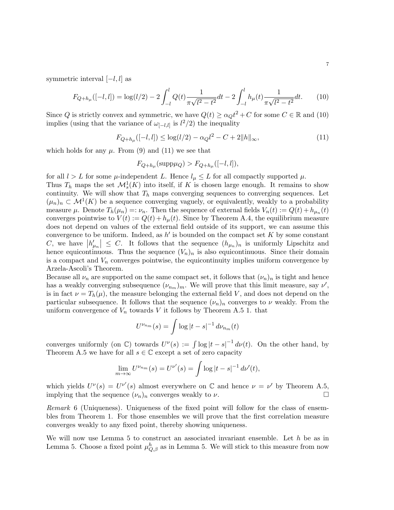symmetric interval  $[-l, l]$  as

$$
F_{Q+h_{\mu}}([-l,l]) = \log(l/2) - 2 \int_{-l}^{l} Q(t) \frac{1}{\pi \sqrt{l^2 - t^2}} dt - 2 \int_{-l}^{l} h_{\mu}(t) \frac{1}{\pi \sqrt{l^2 - t^2}} dt. \tag{10}
$$

Since Q is strictly convex and symmetric, we have  $Q(t) \ge \alpha_Q t^2 + C$  for some  $C \in \mathbb{R}$  and (10) implies (using that the variance of  $\omega_{[-l,l]}$  is  $l^2/2$ ) the inequality

$$
F_{Q+h_{\mu}}([-l,l]) \le \log(l/2) - \alpha Q l^2 - C + 2||h||_{\infty},
$$
\n(11)

which holds for any  $\mu$ . From (9) and (11) we see that

$$
F_{Q+h_{\mu}}(\mathrm{supp}\mu_Q) > F_{Q+h_{\mu}}([-l,l]),
$$

for all  $l > L$  for some  $\mu$ -independent L. Hence  $l_{\mu} \leq L$  for all compactly supported  $\mu$ .

Thus  $T_h$  maps the set  $\mathcal{M}_s^1(K)$  into itself, if K is chosen large enough. It remains to show continuity. We will show that  $T_h$  maps converging sequences to converging sequences. Let  $(\mu_n)_n \subset \mathcal{M}^1(K)$  be a sequence converging vaguely, or equivalently, weakly to a probability measure  $\mu$ . Denote  $T_h(\mu_n) =: \nu_n$ . Then the sequence of external fields  $V_n(t) := Q(t) + h_{\mu_n}(t)$ converges pointwise to  $V(t) := Q(t) + h_{\mu}(t)$ . Since by Theorem A.4, the equilibrium measure does not depend on values of the external field outside of its support, we can assume this convergence to be uniform. Indeed, as  $h'$  is bounded on the compact set K by some constant C, we have  $|h'_{\mu_n}| \leq C$ . It follows that the sequence  $(h_{\mu_n})_n$  is uniformly Lipschitz and hence equicontinuous. Thus the sequence  $(V_n)_n$  is also equicontinuous. Since their domain is a compact and  $V_n$  converges pointwise, the equicontinuity implies uniform convergence by Arzela-Ascoli's Theorem.

Because all  $\nu_n$  are supported on the same compact set, it follows that  $(\nu_n)_n$  is tight and hence has a weakly converging subsequence  $(\nu_{n_m})_m$ . We will prove that this limit measure, say  $\nu'$ , is in fact  $\nu = T_h(\mu)$ , the measure belonging the external field V, and does not depend on the particular subsequence. It follows that the sequence  $(\nu_n)_n$  converges to  $\nu$  weakly. From the uniform convergence of  $V_n$  towards V it follows by Theorem A.5 1. that

$$
U^{\nu_{n_m}}(s) = \int \log|t-s|^{-1} d\nu_{n_m}(t)
$$

converges uniformly (on  $\mathbb{C}$ ) towards  $U^{\nu}(s) := \int \log |t-s|^{-1} d\nu(t)$ . On the other hand, by Theorem A.5 we have for all  $s \in \mathbb{C}$  except a set of zero capacity

$$
\lim_{m \to \infty} U^{\nu_{nm}}(s) = U^{\nu'}(s) = \int \log |t - s|^{-1} d\nu'(t),
$$

which yields  $U^{\nu}(s) = U^{\nu'}(s)$  almost everywhere on C and hence  $\nu = \nu'$  by Theorem A.5, implying that the sequence  $(\nu_n)_n$  converges weakly to  $\nu$ .

Remark 6 (Uniqueness). Uniqueness of the fixed point will follow for the class of ensembles from Theorem 1. For those ensembles we will prove that the first correlation measure converges weakly to any fixed point, thereby showing uniqueness.

We will now use Lemma  $5$  to construct an associated invariant ensemble. Let  $h$  be as in Lemma 5. Choose a fixed point  $\mu_{Q,\beta}^h$  as in Lemma 5. We will stick to this measure from now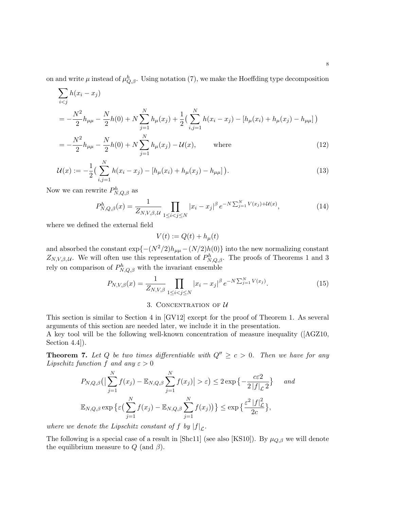on and write  $\mu$  instead of  $\mu_{Q,\beta}^h$ . Using notation (7), we make the Hoeffding type decomposition

$$
\sum_{i < j} h(x_i - x_j)
$$
\n
$$
= -\frac{N^2}{2} h_{\mu\mu} - \frac{N}{2} h(0) + N \sum_{j=1}^N h_{\mu}(x_j) + \frac{1}{2} \left( \sum_{i,j=1}^N h(x_i - x_j) - \left[ h_{\mu}(x_i) + h_{\mu}(x_j) - h_{\mu\mu} \right] \right)
$$
\n
$$
= -\frac{N^2}{2} h_{\mu\mu} - \frac{N}{2} h(0) + N \sum_{j=1}^N h_{\mu}(x_j) - \mathcal{U}(x), \qquad \text{where} \qquad (12)
$$

$$
u(x) := -\frac{1}{2} \left( \sum_{i=1}^{N} h(x_i - x_j) - [h_{\mu}(x_i) + h_{\mu}(x_j) - h_{\mu\mu}] \right).
$$
\n(13)

Now we can rewrite  $P_{N,Q,\beta}^h$  as

$$
P_{N,Q,\beta}^{h}(x) = \frac{1}{Z_{N,V,\beta,\mathcal{U}}} \prod_{1 \le i < j \le N} |x_i - x_j|^\beta \, e^{-N \sum_{j=1}^N V(x_j) + \mathcal{U}(x)},\tag{14}
$$

where we defined the external field

 $i,j=1$ 

 $V(t) := Q(t) + h_u(t)$ 

and absorbed the constant  $\exp\{-(N^2/2)h_{\mu\mu}-(N/2)h(0)\}$  into the new normalizing constant  $Z_{N,V,\beta,\mathcal{U}}$ . We will often use this representation of  $P_{N,Q,\beta}^h$ . The proofs of Theorems 1 and 3 rely on comparison of  $P_{N,Q,\beta}^h$  with the invariant ensemble

$$
P_{N,V,\beta}(x) = \frac{1}{Z_{N,V,\beta}} \prod_{1 \le i < j \le N} |x_i - x_j|^\beta \, e^{-N \sum_{j=1}^N V(x_j)}.\tag{15}
$$

# 3. CONCENTRATION OF  $U$

This section is similar to Section 4 in [GV12] except for the proof of Theorem 1. As several arguments of this section are needed later, we include it in the presentation.

A key tool will be the following well-known concentration of measure inequality ([AGZ10, Section 4.4]).

**Theorem 7.** Let Q be two times differentiable with  $Q'' \ge c > 0$ . Then we have for any Lipschitz function f and any  $\varepsilon > 0$ 

$$
P_{N,Q,\beta}\left(\left|\sum_{j=1}^{N}f(x_j)-\mathbb{E}_{N,Q,\beta}\sum_{j=1}^{N}f(x_j)\right|>\varepsilon\right)\leq 2\exp\left\{-\frac{c\varepsilon^2}{2|f|_{\mathcal{L}}^2}\right\}\quad\text{and}
$$

$$
\mathbb{E}_{N,Q,\beta}\exp\left\{\varepsilon\left(\sum_{j=1}^{N}f(x_j)-\mathbb{E}_{N,Q,\beta}\sum_{j=1}^{N}f(x_j)\right)\right\}\leq \exp\left\{\frac{\varepsilon^2|f|_{\mathcal{L}}^2}{2c}\right\},
$$

where we denote the Lipschitz constant of f by  $|f|_{\mathcal{L}}$ .

The following is a special case of a result in [Shc11] (see also [KS10]). By  $\mu_{Q,\beta}$  we will denote the equilibrium measure to  $Q$  (and  $\beta$ ).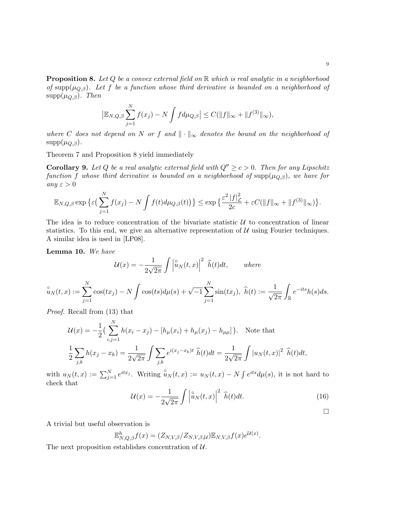**Proposition 8.** Let  $Q$  be a convex external field on  $\mathbb R$  which is real analytic in a neighborhood of supp( $\mu_{Q,\beta}$ ). Let f be a function whose third derivative is bounded on a neighborhood of  $supp(\mu_{Q,\beta})$ . Then

$$
|\mathbb{E}_{N,Q,\beta}\sum_{j=1}^N f(x_j) - N \int f d\mu_{Q,\beta}| \leq C(||f||_{\infty} + ||f^{(3)}||_{\infty}),
$$

where C does not depend on N or f and  $\|\cdot\|_{\infty}$  denotes the bound on the neighborhood of  $supp(\mu_{Q,\beta}).$ 

Theorem 7 and Proposition 8 yield immediately

**Corollary 9.** Let Q be a real analytic external field with  $Q'' \ge c > 0$ . Then for any Lipschitz function f whose third derivative is bounded on a neighborhood of supp $(\mu_{Q,\beta})$ , we have for any  $\varepsilon > 0$ 

$$
\mathbb{E}_{N,Q,\beta} \exp \big\{ \varepsilon \big( \sum_{j=1}^N f(x_j) - N \int f(t) d\mu_{Q,\beta}(t) \big) \big\} \le \exp \big\{ \frac{\varepsilon^2 |f|_{\mathcal{L}}^2}{2c} + \varepsilon C (\|f\|_{\infty} + \|f^{(3)}\|_{\infty}) \big\}.
$$

The idea is to reduce concentration of the bivariate statistic  $U$  to concentration of linear statistics. To this end, we give an alternative representation of  $U$  using Fourier techniques. A similar idea is used in [LP08].

Lemma 10. We have

$$
\mathcal{U}(x) = -\frac{1}{2\sqrt{2\pi}} \int \left| \hat{u}_N(t,x) \right|^2 \ \hat{h}(t) dt, \qquad \text{where}
$$

$$
\hat{u}_N(t,x) := \sum_{j=1}^N \cos(tx_j) - N \int \cos(ts) d\mu(s) + \sqrt{-1} \sum_{j=1}^N \sin(tx_j), \ \hat{h}(t) := \frac{1}{\sqrt{2\pi}} \int_{\mathbb{R}} e^{-its} h(s) ds.
$$

Proof. Recall from (13) that

$$
\mathcal{U}(x) = -\frac{1}{2} \left( \sum_{i,j=1}^{N} h(x_i - x_j) - [h_{\mu}(x_i) + h_{\mu}(x_j) - h_{\mu\mu}] \right). \text{ Note that}
$$
  

$$
\frac{1}{2} \sum_{j,k} h(x_j - x_k) = \frac{1}{2\sqrt{2\pi}} \int \sum_{j,k} e^{i(x_j - x_k)t} \widehat{h}(t) dt = \frac{1}{2\sqrt{2\pi}} \int |u_N(t,x)|^2 \widehat{h}(t) dt,
$$

with  $u_N(t,x) := \sum_{j=1}^N e^{itx_j}$ . Writing  $\hat{u}_N(t,x) := u_N(t,x) - N \int e^{its} d\mu(s)$ , it is not hard to check that

$$
\mathcal{U}(x) = -\frac{1}{2\sqrt{2\pi}} \int \left| \hat{u}_N(t, x) \right|^2 \hat{h}(t) dt.
$$
 (16)

A trivial but useful observation is

$$
\mathbb{E}_{N,Q,\beta}^h f(x) = (Z_{N,V,\beta}/Z_{N,V,\beta,\mathcal{U}}) \mathbb{E}_{N,V,\beta} f(x) e^{\mathcal{U}(x)}.
$$

The next proposition establishes concentration of  $\mathcal{U}$ .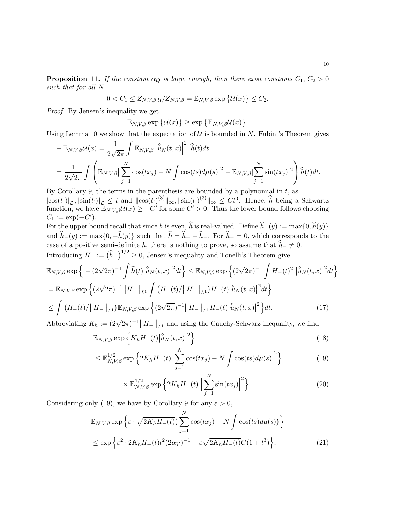**Proposition 11.** If the constant  $\alpha_Q$  is large enough, then there exist constants  $C_1, C_2 > 0$ such that for all N

$$
0 < C_1 \leq Z_{N,V,\beta,\mathcal{U}}/Z_{N,V,\beta} = \mathbb{E}_{N,V,\beta} \exp \{ \mathcal{U}(x) \} \leq C_2.
$$

Proof. By Jensen's inequality we get

$$
\mathbb{E}_{N,V,\beta}\exp\{\mathcal{U}(x)\}\geq \exp\{\mathbb{E}_{N,V,\beta}\mathcal{U}(x)\}.
$$

Using Lemma 10 we show that the expectation of  $U$  is bounded in N. Fubini's Theorem gives

$$
-\mathbb{E}_{N,V,\beta}\mathcal{U}(x) = \frac{1}{2\sqrt{2\pi}} \int \mathbb{E}_{N,V,\beta} \left| \hat{u}_N(t,x) \right|^2 \widehat{h}(t) dt
$$
  
= 
$$
\frac{1}{2\sqrt{2\pi}} \int \left( \mathbb{E}_{N,V,\beta} \left| \sum_{j=1}^N \cos(tx_j) - N \int \cos(ts) d\mu(s) \right|^2 + \mathbb{E}_{N,V,\beta} \left| \sum_{j=1}^N \sin(tx_j) \right|^2 \right) \widehat{h}(t) dt.
$$

By Corollary 9, the terms in the parenthesis are bounded by a polynomial in  $t$ , as  $|\cos(t\cdot)|_{\mathcal{L}}, |\sin(t\cdot)|_{\mathcal{L}} \leq t$  and  $||\cos(t\cdot)|^{(3)}||_{\infty}, ||\sin(t\cdot)|^{(3)}||_{\infty} \leq Ct^3$ . Hence,  $\hat{h}$  being a Schwartz function, we have  $\mathbb{E}_{N,V,\beta} \mathcal{U}(x) \geq -C'$  for some  $C' > 0$ . Thus the lower bound follows choosing  $C_1 := \exp(-C').$ 

For the upper bound recall that since h is even,  $\hat{h}$  is real-valued. Define  $\hat{h}_+(y) := \max\{0, \hat{h}(y)\}\$ and  $\hat{h}_-(y) := \max\{0, -\hat{h}(y)\}\$  such that  $\hat{h} = \hat{h}_+ - \hat{h}_-$ . For  $\hat{h}_- = 0$ , which corresponds to the case of a positive semi-definite h, there is nothing to prove, so assume that  $\hat{h}_- \neq 0$ . Introducing  $H_{-} := (\hat{h}_{-})^{1/2} \ge 0$ , Jensen's inequality and Tonelli's Theorem give

$$
\mathbb{E}_{N,V,\beta} \exp \left\{ - (2\sqrt{2\pi})^{-1} \int \widehat{h}(t) \left| \widehat{u}_{N}(t,x) \right|^{2} dt \right\} \leq \mathbb{E}_{N,V,\beta} \exp \left\{ (2\sqrt{2\pi})^{-1} \int H_{-}(t)^{2} \left| \widehat{u}_{N}(t,x) \right|^{2} dt \right\}
$$
\n
$$
= \mathbb{E}_{N,V,\beta} \exp \left\{ (2\sqrt{2\pi})^{-1} ||H_{-}||_{L^{1}} \int (H_{-}(t) / ||H_{-}||_{L^{1}}) H_{-}(t) \left| \widehat{u}_{N}(t,x) \right|^{2} dt \right\}
$$
\n
$$
\leq \int (H_{-}(t) / ||H_{-}||_{L^{1}}) \mathbb{E}_{N,V,\beta} \exp \left\{ (2\sqrt{2\pi})^{-1} ||H_{-}||_{L^{1}} H_{-}(t) \left| \widehat{u}_{N}(t,x) \right|^{2} \right\} dt.
$$
\n(17)

Abbreviating  $K_h := (2\sqrt{2\pi})^{-1} ||H_-\Vert_{L^1}$  and using the Cauchy-Schwarz inequality, we find

$$
\mathbb{E}_{N,V,\beta} \exp\left\{ K_h H_-(t) \Big| \mathring{u}_N(t,x) \Big|^2 \right\} \tag{18}
$$

$$
\leq \mathbb{E}_{N,V,\beta}^{1/2} \exp\left\{2K_h H_-(t) \Big|\sum_{j=1}^N \cos(tx_j) - N \int \cos(ts) d\mu(s)\Big|^2\right\} \tag{19}
$$

$$
\times \mathbb{E}_{N,V,\beta}^{1/2} \exp\left\{2K_h H_-(t) \left|\sum_{j=1}^N \sin(tx_j)\right|^2\right\}.
$$
 (20)

Considering only (19), we have by Corollary 9 for any  $\varepsilon > 0$ ,

$$
\mathbb{E}_{N,V,\beta} \exp \left\{ \varepsilon \cdot \sqrt{2K_h H_-(t)} \left( \sum_{j=1}^N \cos(tx_j) - N \int \cos(ts) d\mu(s) \right) \right\}
$$
  

$$
\leq \exp \left\{ \varepsilon^2 \cdot 2K_h H_-(t) t^2 (2\alpha_V)^{-1} + \varepsilon \sqrt{2K_h H_-(t)} C (1 + t^3) \right\},
$$
 (21)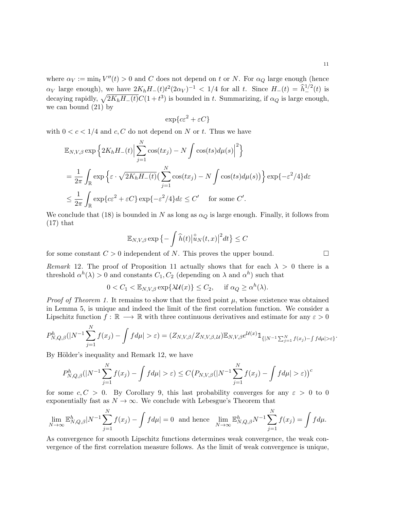where  $\alpha_V := \min_t V''(t) > 0$  and C does not depend on t or N. For  $\alpha_Q$  large enough (hence  $\alpha_V$  large enough), we have  $2K_hH_-(t)t^2(2\alpha_V)^{-1} < 1/4$  for all t. Since  $H_-(t) = \hat{h}_-^{1/2}(t)$  is decaying rapidly,  $\sqrt{2K_hH_-(t)}C(1+t^3)$  is bounded in t. Summarizing, if  $\alpha_Q$  is large enough, we can bound (21) by

$$
\exp\{c\varepsilon^2 + \varepsilon C\}
$$

with  $0 < c < 1/4$  and c, C do not depend on N or t. Thus we have

$$
\mathbb{E}_{N,V,\beta} \exp \left\{ 2K_h H_-(t) \Big| \sum_{j=1}^N \cos(tx_j) - N \int \cos(ts) d\mu(s) \Big|^2 \right\}
$$
  
=  $\frac{1}{2\pi} \int_{\mathbb{R}} \exp \left\{ \varepsilon \cdot \sqrt{2K_h H_-(t)} \Big( \sum_{j=1}^N \cos(tx_j) - N \int \cos(ts) d\mu(s) \Big) \right\} \exp \left\{ -\varepsilon^2 / 4 \right\} d\varepsilon$   
 $\leq \frac{1}{2\pi} \int_{\mathbb{R}} \exp \left\{ c\varepsilon^2 + \varepsilon C \right\} \exp \left\{ -\varepsilon^2 / 4 \right\} d\varepsilon \leq C' \quad \text{for some } C'.$ 

We conclude that (18) is bounded in N as long as  $\alpha_Q$  is large enough. Finally, it follows from  $(17)$  that

$$
\mathbb{E}_{N,V,\beta} \exp \left\{-\int \widehat{h}(t) \left|\widehat{u}_N(t,x)\right|^2 dt\right\} \leq C
$$

for some constant  $C > 0$  independent of N. This proves the upper bound.

Remark 12. The proof of Proposition 11 actually shows that for each  $\lambda > 0$  there is a threshold  $\alpha^h(\lambda) > 0$  and constants  $C_1, C_2$  (depending on  $\lambda$  and  $\alpha^h$ ) such that

$$
0 < C_1 < \mathbb{E}_{N,V,\beta} \exp\{\lambda \mathcal{U}(x)\} \le C_2, \quad \text{if } \alpha_Q \ge \alpha^h(\lambda).
$$

*Proof of Theorem 1.* It remains to show that the fixed point  $\mu$ , whose existence was obtained in Lemma 5, is unique and indeed the limit of the first correlation function. We consider a Lipschitz function  $f: \mathbb{R} \longrightarrow \mathbb{R}$  with three continuous derivatives and estimate for any  $\varepsilon > 0$ 

$$
P_{N,Q,\beta}^h(|N^{-1}\sum_{j=1}^N f(x_j)-\int f d\mu|>\varepsilon)=(Z_{N,V,\beta}/Z_{N,V,\beta,\mathcal{U}})\mathbb{E}_{N,V,\beta}e^{\mathcal{U}(x)}\mathbb{1}_{\{|N^{-1}\sum_{j=1}^N f(x_j)-\int f d\mu|>\varepsilon\}}.
$$

By Hölder's inequality and Remark 12, we have

$$
P_{N,Q,\beta}^h(|N^{-1}\sum_{j=1}^N f(x_j)-\int f d\mu|>\varepsilon)\leq C\big(P_{N,V,\beta}(|N^{-1}\sum_{j=1}^N f(x_j)-\int f d\mu|>\varepsilon)\big)^c
$$

for some  $c, C > 0$ . By Corollary 9, this last probability converges for any  $\varepsilon > 0$  to 0 exponentially fast as  $N \to \infty$ . We conclude with Lebesgue's Theorem that

$$
\lim_{N \to \infty} \mathbb{E}_{N,Q,\beta}^h |N^{-1} \sum_{j=1}^N f(x_j) - \int f d\mu| = 0 \text{ and hence } \lim_{N \to \infty} \mathbb{E}_{N,Q,\beta}^h N^{-1} \sum_{j=1}^N f(x_j) = \int f d\mu.
$$

As convergence for smooth Lipschitz functions determines weak convergence, the weak convergence of the first correlation measure follows. As the limit of weak convergence is unique,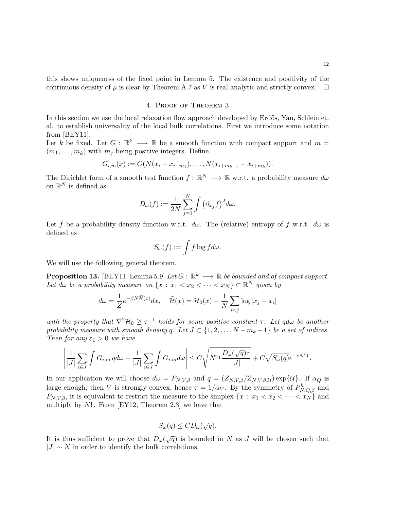.

this shows uniqueness of the fixed point in Lemma 5. The existence and positivity of the continuous density of  $\mu$  is clear by Theorem A.7 as V is real-analytic and strictly convex.  $\Box$ 

# 4. Proof of Theorem 3

In this section we use the local relaxation flow approach developed by Erdős, Yau, Schlein et. al. to establish universality of the local bulk correlations. First we introduce some notation from [BEY11].

Let k be fixed. Let  $G: \mathbb{R}^k \longrightarrow \mathbb{R}$  be a smooth function with compact support and  $m =$  $(m_1, \ldots, m_k)$  with  $m_j$  being positive integers. Define

$$
G_{i,m}(x) := G(N(x_i - x_{i+m_1}), \ldots, N(x_{i+m_{k-1}} - x_{i+m_k})).
$$

The Dirichlet form of a smooth test function  $f: \mathbb{R}^N \longrightarrow \mathbb{R}$  w.r.t. a probability measure  $d\omega$ on  $\mathbb{R}^N$  is defined as

$$
D_{\omega}(f):=\frac{1}{2N}\sum_{j=1}^N\int \big(\partial_{x_j}f\big)^2d\omega.
$$

Let f be a probability density function w.r.t.  $d\omega$ . The (relative) entropy of f w.r.t.  $d\omega$  is defined as

$$
S_{\omega}(f) := \int f \log f d\omega.
$$

We will use the following general theorem.

**Proposition 13.** [BEY11, Lemma 5.9] Let  $G : \mathbb{R}^k \longrightarrow \mathbb{R}$  be bounded and of compact support. Let  $d\omega$  be a probability measure on  $\{x : x_1 < x_2 < \cdots < x_N\} \subset \mathbb{R}^N$  given by

$$
d\omega = \frac{1}{Z}e^{-\beta N\widehat{\mathcal{H}}(x)}dx, \quad \widehat{\mathcal{H}}(x) = \mathcal{H}_0(x) - \frac{1}{N}\sum_{i < j}\log|x_j - x_i|
$$

with the property that  $\nabla^2 \mathcal{H}_0 \geq \tau^{-1}$  holds for some positive constant  $\tau$ . Let qd $\omega$  be another probability measure with smooth density q. Let  $J \subset \{1, 2, \ldots, N - m_k - 1\}$  be a set of indices. Then for any  $\varepsilon_1 > 0$  we have

$$
\left| \frac{1}{|J|} \sum_{i \in J} \int G_{i,m} \, q d\omega - \frac{1}{|J|} \sum_{i \in J} \int G_{i,m} d\omega \right| \leq C \sqrt{N^{\varepsilon_1} \frac{D_\omega(\sqrt{q}) \tau}{|J|}} + C \sqrt{S_\omega(q)} e^{-c N^{\varepsilon_1}}
$$

In our application we will choose  $d\omega = P_{N,V,\beta}$  and  $q = (Z_{N,V,\beta}/Z_{N,V,\beta,\mathcal{U}}) \exp{\{\mathcal{U}\}}$ . If  $\alpha_Q$  is large enough, then V is strongly convex, hence  $\tau = 1/\alpha_V$ . By the symmetry of  $P_{N,Q,\beta}^h$  and  $P_{N,V,\beta}$ , it is equivalent to restrict the measure to the simplex  $\{x : x_1 < x_2 < \cdots < x_N\}$  and multiply by  $N!$ . From [EY12, Theorem 2.3] we have that

$$
S_{\omega}(q) \leq CD_{\omega}(\sqrt{q}).
$$

It is thus sufficient to prove that  $D_{\omega}(\sqrt{q})$  is bounded in N as J will be chosen such that  $|J| \sim N$  in order to identify the bulk correlations.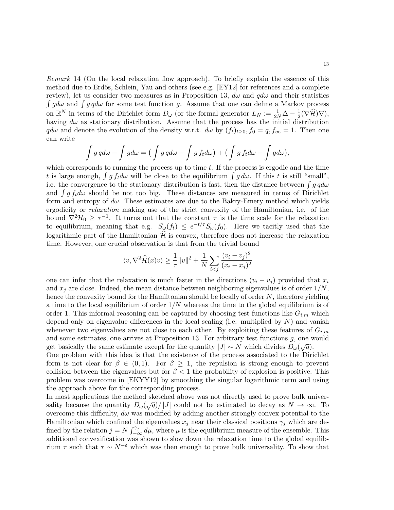Remark 14 (On the local relaxation flow approach). To briefly explain the essence of this method due to Erdős, Schlein, Yau and others (see e.g. [EY12] for references and a complete review), let us consider two measures as in Proposition 13,  $d\omega$  and  $q d\omega$  and their statistics  $\int g d\omega$  and  $\int g d\omega$  for some test function g. Assume that one can define a Markov process on  $\mathbb{R}^N$  in terms of the Dirichlet form  $D_\omega$  (or the formal generator  $L_N := \frac{1}{2N}\Delta - \frac{1}{2}$  $\frac{1}{2}(\nabla \mathcal{H})\nabla,$ having  $d\omega$  as stationary distribution. Assume that the process has the initial distribution  $q d\omega$  and denote the evolution of the density w.r.t.  $d\omega$  by  $(f_t)_{t>0}$ ,  $f_0 = q$ ,  $f_{\infty} = 1$ . Then one can write

$$
\int g \, q d\omega - \int g d\omega = \big(\int g \, q d\omega - \int g \, f_t d\omega\big) + \big(\int g \, f_t d\omega - \int g d\omega\big),
$$

which corresponds to running the process up to time  $t$ . If the process is ergodic and the time t is large enough,  $\int g f_t d\omega$  will be close to the equilibrium  $\int g d\omega$ . If this t is still "small", i.e. the convergence to the stationary distribution is fast, then the distance between  $\int g \, q d\omega$ and  $\int g f_t d\omega$  should be not too big. These distances are measured in terms of Dirichlet form and entropy of  $d\omega$ . These estimates are due to the Bakry-Emery method which yields ergodicity or relaxation making use of the strict convexity of the Hamiltonian, i.e. of the bound  $\nabla^2 \mathcal{H}_0 \geq \tau^{-1}$ . It turns out that the constant  $\tau$  is the time scale for the relaxation to equilibrium, meaning that e.g.  $S_{\omega}(f_t) \leq e^{-t/\tau} S_{\omega}(f_0)$ . Here we tacitly used that the logarithmic part of the Hamiltonian  $\hat{\mathcal{H}}$  is convex, therefore does not increase the relaxation time. However, one crucial observation is that from the trivial bound

$$
\langle v, \nabla^2 \widehat{\mathcal{H}}(x) v \rangle \ge \frac{1}{\tau} ||v||^2 + \frac{1}{N} \sum_{i < j} \frac{(v_i - v_j)^2}{(x_i - x_j)^2}
$$

one can infer that the relaxation is much faster in the directions  $(v_i - v_j)$  provided that  $x_i$ and  $x_j$  are close. Indeed, the mean distance between neighboring eigenvalues is of order  $1/N$ , hence the convexity bound for the Hamiltonian should be locally of order N, therefore yielding a time to the local equilibrium of order  $1/N$  whereas the time to the global equilibrium is of order 1. This informal reasoning can be captured by choosing test functions like  $G_{i,m}$  which depend only on eigenvalue differences in the local scaling (i.e. multiplied by  $N$ ) and vanish whenever two eigenvalues are not close to each other. By exploiting these features of  $G_{i,m}$ and some estimates, one arrives at Proposition 13. For arbitrary test functions g, one would get basically the same estimate except for the quantity  $|J| \sim N$  which divides  $D_{\omega}(\sqrt{q})$ .

One problem with this idea is that the existence of the process associated to the Dirichlet form is not clear for  $\beta \in (0,1)$ . For  $\beta \geq 1$ , the repulsion is strong enough to prevent collision between the eigenvalues but for  $\beta < 1$  the probability of explosion is positive. This problem was overcome in [EKYY12] by smoothing the singular logarithmic term and using the approach above for the corresponding process.

In most applications the method sketched above was not directly used to prove bulk universality because the quantity  $D_{\omega}(\sqrt{q})/|J|$  could not be estimated to decay as  $N \to \infty$ . To overcome this difficulty,  $d\omega$  was modified by adding another strongly convex potential to the Hamiltonian which confined the eigenvalues  $x_j$  near their classical positions  $\gamma_j$  which are defined by the relation  $j = N \int_{-\infty}^{\gamma_j} d\mu$ , where  $\mu$  is the equilibrium measure of the ensemble. This additional convexification was shown to slow down the relaxation time to the global equilibrium  $\tau$  such that  $\tau \sim N^{-\varepsilon}$  which was then enough to prove bulk universality. To show that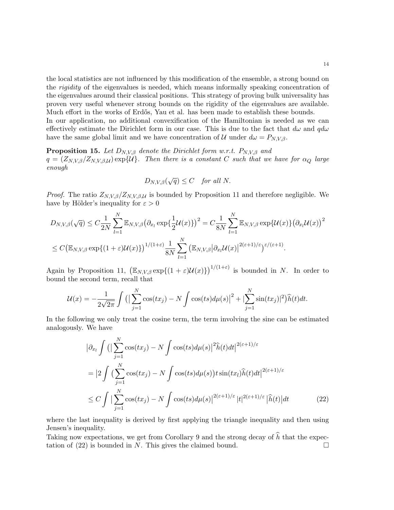the local statistics are not influenced by this modification of the ensemble, a strong bound on the rigidity of the eigenvalues is needed, which means informally speaking concentration of the eigenvalues around their classical positions. This strategy of proving bulk universality has proven very useful whenever strong bounds on the rigidity of the eigenvalues are available. Much effort in the works of Erdős, Yau et al. has been made to establish these bounds.

In our application, no additional convexification of the Hamiltonian is needed as we can effectively estimate the Dirichlet form in our case. This is due to the fact that  $d\omega$  and  $q d\omega$ have the same global limit and we have concentration of U under  $d\omega = P_{N,V,\beta}$ .

**Proposition 15.** Let  $D_{N,V,\beta}$  denote the Dirichlet form w.r.t.  $P_{N,V,\beta}$  and  $q = (Z_{N,V,\beta}/Z_{N,V,\beta,\mathcal{U}}) \exp{\mathcal{U}}$ . Then there is a constant C such that we have for  $\alpha_Q$  large enough

$$
D_{N,V,\beta}(\sqrt{q}) \leq C \quad \text{for all } N.
$$

*Proof.* The ratio  $Z_{N,V,\beta}/Z_{N,V,\beta,\mathcal{U}}$  is bounded by Proposition 11 and therefore negligible. We have by Hölder's inequality for  $\varepsilon > 0$ 

$$
D_{N,V,\beta}(\sqrt{q}) \leq C \frac{1}{2N} \sum_{l=1}^{N} \mathbb{E}_{N,V,\beta} (\partial_{x_l} \exp{\{\frac{1}{2}\mathcal{U}(x)\}})^2 = C \frac{1}{8N} \sum_{l=1}^{N} \mathbb{E}_{N,V,\beta} \exp{\mathcal{U}(x)\} (\partial_{x_l} \mathcal{U}(x))^2
$$
  

$$
\leq C (\mathbb{E}_{N,V,\beta} \exp{\{(1+\varepsilon)\mathcal{U}(x)\}})^{1/(1+\varepsilon)} \frac{1}{8N} \sum_{l=1}^{N} (\mathbb{E}_{N,V,\beta} |\partial_{x_l} \mathcal{U}(x)|^{2(\varepsilon+1)/\varepsilon})^{\varepsilon/(\varepsilon+1)}.
$$

Again by Proposition 11,  $(\mathbb{E}_{N,V,\beta} \exp\{(1+\varepsilon)\mathcal{U}(x)\})^{1/(1+\varepsilon)}$  is bounded in N. In order to bound the second term, recall that

$$
\mathcal{U}(x) = -\frac{1}{2\sqrt{2\pi}} \int \left( \left| \sum_{j=1}^{N} \cos(tx_j) - N \int \cos(ts) d\mu(s) \right|^2 + \left| \sum_{j=1}^{N} \sin(tx_j) \right|^2 \right) \hat{h}(t) dt.
$$

In the following we only treat the cosine term, the term involving the sine can be estimated analogously. We have

$$
\left|\partial_{x_l}\int\left(\left|\sum_{j=1}^N\cos(tx_j)-N\int\cos(ts)d\mu(s)\right|^2\hat{h}(t)dt\right|^{2(\varepsilon+1)/\varepsilon}
$$

$$
=\left|2\int\left(\sum_{j=1}^N\cos(tx_j)-N\int\cos(ts)d\mu(s)\right)t\sin(tx_l)\hat{h}(t)dt\right|^{2(\varepsilon+1)/\varepsilon}
$$

$$
\leq C\int\left|\sum_{j=1}^N\cos(tx_j)-N\int\cos(ts)d\mu(s)\right|^{2(\varepsilon+1)/\varepsilon}|t|^{2(\varepsilon+1)/\varepsilon}|\hat{h}(t)|dt\tag{22}
$$

where the last inequality is derived by first applying the triangle inequality and then using Jensen's inequality.

Taking now expectations, we get from Corollary 9 and the strong decay of  $\hat{h}$  that the expectation of (22) is bounded in N. This gives the claimed bound. tation of  $(22)$  is bounded in N. This gives the claimed bound.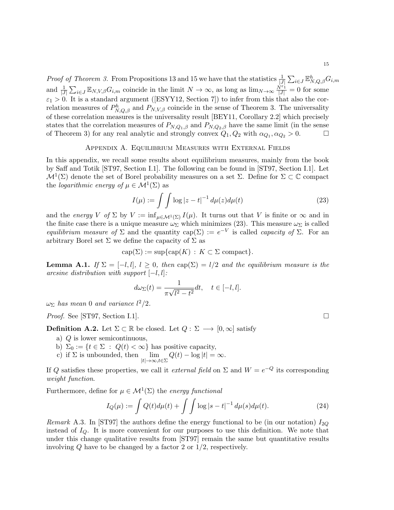*Proof of Theorem 3.* From Propositions 13 and 15 we have that the statistics  $\frac{1}{|J|} \sum_{i \in J} \mathbb{E}_{N,Q,\beta}^h G_{i,m}$ and  $\frac{1}{|J|}\sum_{i\in J}\mathbb{E}_{N,V,\beta}G_{i,m}$  coincide in the limit  $N\to\infty$ , as long as  $\lim_{N\to\infty}\frac{N^{\varepsilon_1}}{|J|}=0$  for some  $\varepsilon_1 > 0$ . It is a standard argument ([ESYY12, Section 7]) to infer from this that also the correlation measures of  $P_{N,Q,\beta}^h$  and  $P_{N,V,\beta}$  coincide in the sense of Theorem 3. The universality of these correlation measures is the universality result [BEY11, Corollary 2.2] which precisely states that the correlation measures of  $P_{N,Q_1,\beta}$  and  $P_{N,Q_2,\beta}$  have the same limit (in the sense of Theorem 3) for any real analytic and strongly convex  $Q_1, Q_2$  with  $\alpha_{Q_1}, \alpha_{Q_2} > 0$ .

### Appendix A. Equilibrium Measures with External Fields

In this appendix, we recall some results about equilibrium measures, mainly from the book by Saff and Totik [ST97, Section I.1]. The following can be found in [ST97, Section I.1]. Let  $\mathcal{M}^1(\Sigma)$  denote the set of Borel probability measures on a set  $\Sigma$ . Define for  $\Sigma \subset \mathbb{C}$  compact the *logarithmic energy of*  $\mu \in M^1(\Sigma)$  as

$$
I(\mu) := \int \int \log |z - t|^{-1} \, d\mu(z) d\mu(t) \tag{23}
$$

and the energy V of  $\Sigma$  by  $V := \inf_{\mu \in \mathcal{M}^1(\Sigma)} I(\mu)$ . It turns out that V is finite or  $\infty$  and in the finite case there is a unique measure  $\omega_{\Sigma}$  which minimizes (23). This measure  $\omega_{\Sigma}$  is called equilibrium measure of  $\Sigma$  and the quantity cap( $\Sigma$ ) :=  $e^{-V}$  is called *capacity of*  $\Sigma$ . For an arbitrary Borel set  $\Sigma$  we define the capacity of  $\Sigma$  as

$$
cap(\Sigma) := sup\{cap(K) : K \subset \Sigma \text{ compact}\}.
$$

**Lemma A.1.** If  $\Sigma = [-l, l], l \geq 0$ , then  $cap(\Sigma) = l/2$  and the equilibrium measure is the arcsine distribution with support  $[-l, l]$ :

$$
d\omega_{\Sigma}(t) = \frac{1}{\pi\sqrt{l^2 - t^2}}dt, \quad t \in [-l, l].
$$

 $\omega_{\Sigma}$  has mean 0 and variance  $l^2/2$ .

*Proof.* See [ST97, Section I.1].

**Definition A.2.** Let  $\Sigma \subset \mathbb{R}$  be closed. Let  $Q: \Sigma \longrightarrow [0, \infty]$  satisfy

- a) Q is lower semicontinuous,
- b)  $\Sigma_0 := \{t \in \Sigma : Q(t) < \infty\}$  has positive capacity,
- c) if  $\Sigma$  is unbounded, then  $\lim_{|t|\to\infty,t\in\Sigma}Q(t) \log|t| = \infty$ .

If Q satisfies these properties, we call it external field on  $\Sigma$  and  $W = e^{-Q}$  its corresponding weight function.

Furthermore, define for  $\mu \in \mathcal{M}^1(\Sigma)$  the energy functional

$$
I_Q(\mu) := \int Q(t) d\mu(t) + \int \int \log|s - t|^{-1} d\mu(s) d\mu(t).
$$
 (24)

Remark A.3. In [ST97] the authors define the energy functional to be (in our notation)  $I_{2Q}$ instead of  $I_{\mathcal{O}}$ . It is more convenient for our purposes to use this definition. We note that under this change qualitative results from [ST97] remain the same but quantitative results involving Q have to be changed by a factor 2 or 1/2, respectively.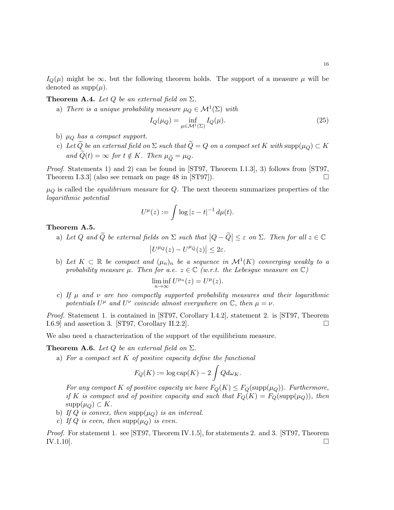$I_{\mathcal{O}}(\mu)$  might be  $\infty$ , but the following theorem holds. The support of a measure  $\mu$  will be denoted as  $supp(\mu)$ .

**Theorem A.4.** Let  $Q$  be an external field on  $\Sigma$ .

a) There is a unique probability measure  $\mu_Q \in \mathcal{M}^1(\Sigma)$  with

$$
I_Q(\mu_Q) = \inf_{\mu \in \mathcal{M}^1(\Sigma)} I_Q(\mu). \tag{25}
$$

- b)  $\mu_Q$  has a compact support.
- c) Let  $\widetilde{Q}$  be an external field on  $\Sigma$  such that  $\widetilde{Q}=Q$  on a compact set K with  $\text{supp}(\mu_Q) \subset K$ and  $\widetilde{Q}(t) = \infty$  for  $t \notin K$ . Then  $\mu_{\widetilde{Q}} = \mu_Q$ .

Proof. Statements 1) and 2) can be found in [ST97, Theorem I.1.3], 3) follows from [ST97, Theorem I.3.3 (also see remark on page 48 in  $ST97$ ).

 $\mu_Q$  is called the *equilibrium measure* for Q. The next theorem summarizes properties of the logarithmic potential

$$
U^{\mu}(z) := \int \log |z - t|^{-1} \, d\mu(t).
$$

#### Theorem A.5.

- a) Let Q and  $\widetilde{Q}$  be external fields on  $\Sigma$  such that  $|Q \widetilde{Q}| \leq \varepsilon$  on  $\Sigma$ . Then for all  $z \in \mathbb{C}$  $|U^{\mu_Q}(z) - U^{\mu_{\widetilde{Q}}}(z)| \leq 2\varepsilon.$
- b) Let  $K \subset \mathbb{R}$  be compact and  $(\mu_n)_n$  be a sequence in  $\mathcal{M}^1(K)$  converging weakly to a probability measure  $\mu$ . Then for a.e.  $z \in \mathbb{C}$  (w.r.t. the Lebesgue measure on  $\mathbb{C}$ )

$$
\liminf_{n \to \infty} U^{\mu_n}(z) = U^{\mu}(z).
$$

c) If  $\mu$  and  $\nu$  are two compactly supported probability measures and their logarithmic potentials  $U^{\mu}$  and  $U^{\nu}$  coincide almost everywhere on  $\mathbb{C}$ , then  $\mu = \nu$ .

Proof. Statement 1. is contained in [ST97, Corollary I.4.2], statement 2. is [ST97, Theorem  $1.6.9$  and assertion 3. [ST97, Corollary II.2.2].

We also need a characterization of the support of the equilibrium measure.

**Theorem A.6.** Let Q be an external field on  $\Sigma$ .

a) For a compact set  $K$  of positive capacity define the functional

$$
F_Q(K) := \log \text{cap}(K) - 2 \int Q d\omega_K.
$$

For any compact K of positive capacity we have  $F_Q(K) \leq F_Q(\text{supp}(\mu_Q))$ . Furthermore, if K is compact and of positive capacity and such that  $F_Q(K) = F_Q(\text{supp}(\mu_Q))$ , then  $supp(\mu_Q) \subset K$ .

- b) If Q is convex, then  $\text{supp}(\mu_Q)$  is an interval.
- c) If Q is even, then supp $(\mu_Q)$  is even.

Proof. For statement 1. see [ST97, Theorem IV.1.5], for statements 2. and 3. [ST97, Theorem IV.1.10].